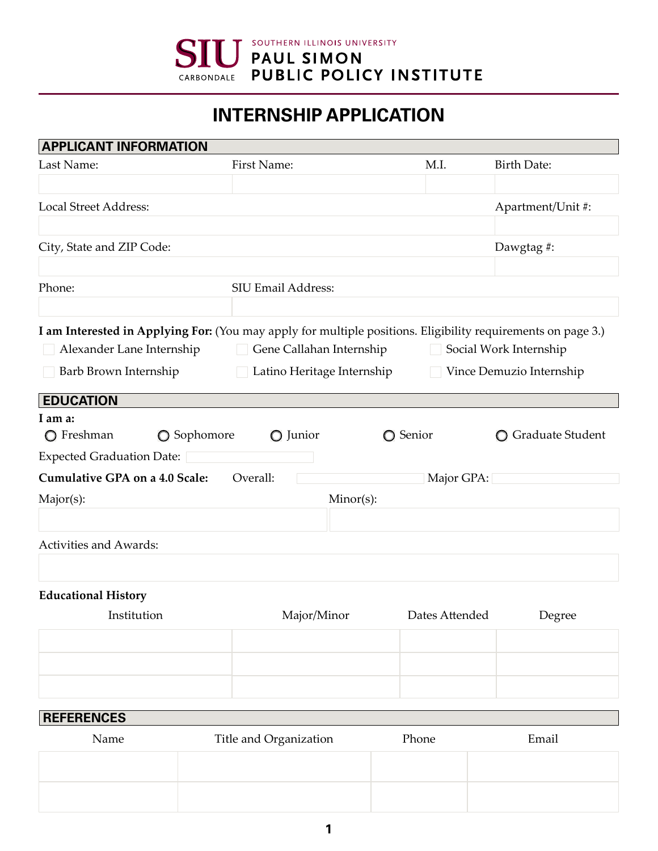#### SOUTHERN ILLINOIS UNIVERSITY PAUL SIMON PUBLIC POLICY INSTITUTE CARBONDALE

## **INTERNSHIP APPLICATION**

| <b>APPLICANT INFORMATION</b>                                                                                 |                                                        |                                                    |                    |  |
|--------------------------------------------------------------------------------------------------------------|--------------------------------------------------------|----------------------------------------------------|--------------------|--|
| Last Name:                                                                                                   | First Name:                                            | M.I.                                               | <b>Birth Date:</b> |  |
|                                                                                                              |                                                        |                                                    |                    |  |
| <b>Local Street Address:</b>                                                                                 |                                                        |                                                    | Apartment/Unit #:  |  |
| City, State and ZIP Code:                                                                                    |                                                        |                                                    | Dawgtag#:          |  |
| Phone:                                                                                                       | SIU Email Address:                                     |                                                    |                    |  |
|                                                                                                              |                                                        |                                                    |                    |  |
| I am Interested in Applying For: (You may apply for multiple positions. Eligibility requirements on page 3.) |                                                        |                                                    |                    |  |
| Alexander Lane Internship                                                                                    |                                                        | Gene Callahan Internship<br>Social Work Internship |                    |  |
| Barb Brown Internship                                                                                        | Latino Heritage Internship<br>Vince Demuzio Internship |                                                    |                    |  |
| <b>EDUCATION</b>                                                                                             |                                                        |                                                    |                    |  |
| I am a:                                                                                                      |                                                        |                                                    |                    |  |
| ◯ Freshman<br>○ Sophomore                                                                                    | O Junior                                               | ◯ Senior                                           | Graduate Student   |  |
| <b>Expected Graduation Date:</b>                                                                             |                                                        |                                                    |                    |  |
| Cumulative GPA on a 4.0 Scale:                                                                               | Overall:                                               | Major GPA:                                         |                    |  |
| Major(s):                                                                                                    | Minor(s):                                              |                                                    |                    |  |
|                                                                                                              |                                                        |                                                    |                    |  |
| <b>Activities and Awards:</b>                                                                                |                                                        |                                                    |                    |  |
|                                                                                                              |                                                        |                                                    |                    |  |
|                                                                                                              |                                                        |                                                    |                    |  |

### **Educational History**

| Institution | Major/Minor | Dates Attended | Degree |
|-------------|-------------|----------------|--------|
|             |             |                |        |
|             |             |                |        |
|             |             |                |        |

#### **REFERENCES**

| Name | Title and Organization | Phone | Email |
|------|------------------------|-------|-------|
|      |                        |       |       |
|      |                        |       |       |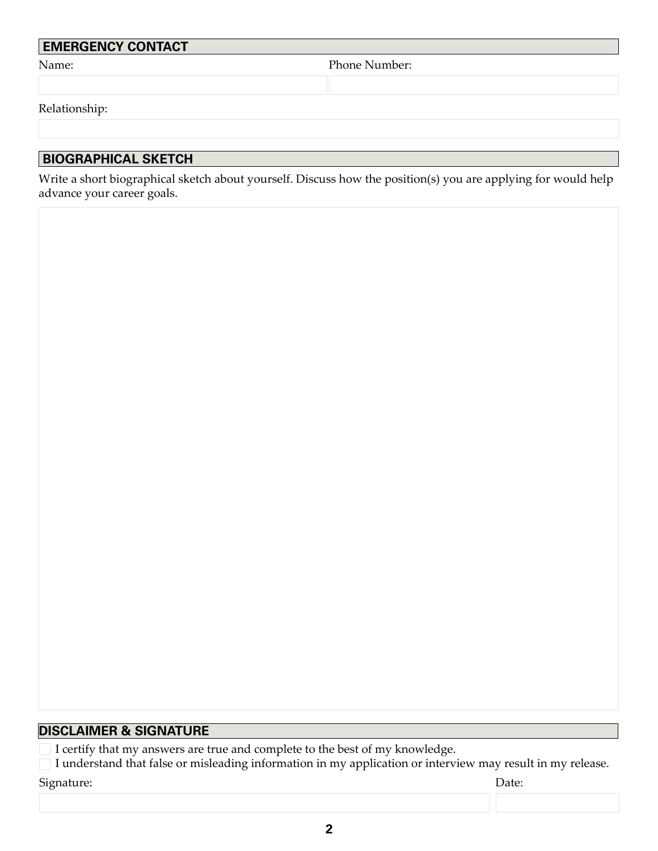| <b>EMERGENCY CONTACT</b>   |               |
|----------------------------|---------------|
| Name:                      | Phone Number: |
|                            |               |
| Relationship:              |               |
| <b>BIOGRAPHICAL SKETCH</b> |               |

Write a short biographical sketch about yourself. Discuss how the position(s) you are applying for would help advance your career goals.

### **DISCLAIMER & SIGNATURE**

I certify that my answers are true and complete to the best of my knowledge.

I understand that false or misleading information in my application or interview may result in my release.

Signature: Date: Date: Date: Date: Date: Date: Date: Date: Date: Date: Date: Date: Date: Date: Date: Date: Date: Date: Date: Date: Date: Date: Date: Date: Date: Date: Date: Date: Date: Date: Date: Date: Date: Date: Date: D